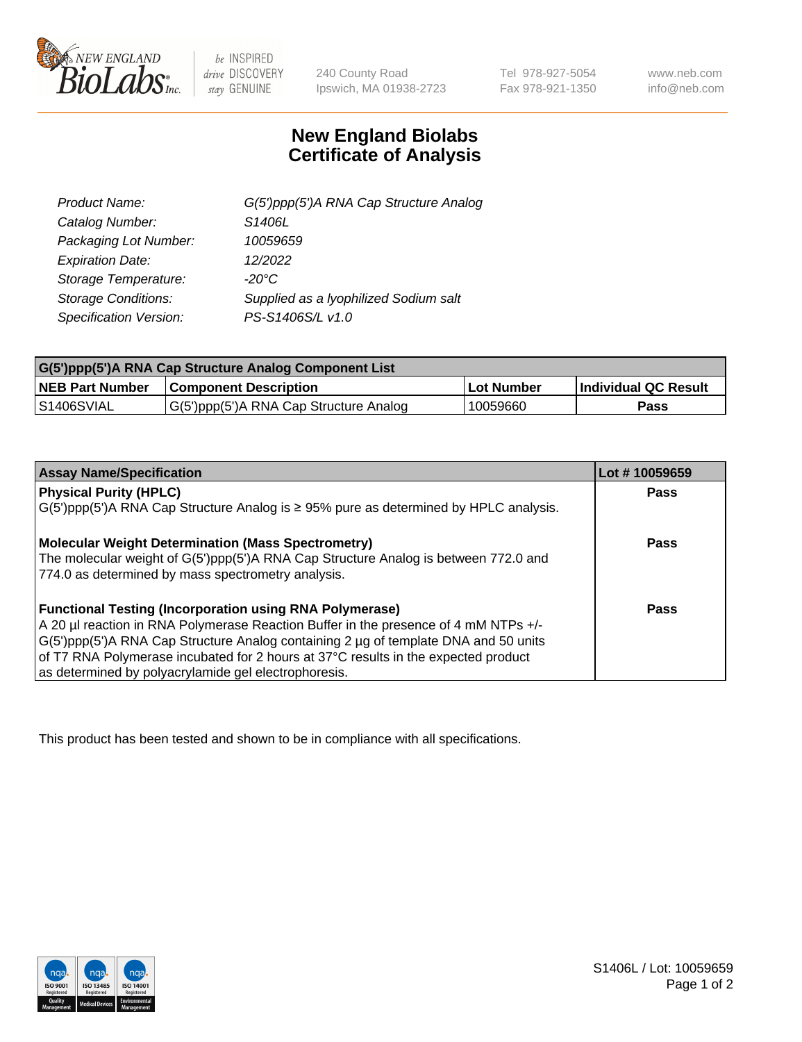

 $be$  INSPIRED drive DISCOVERY stay GENUINE

240 County Road Ipswich, MA 01938-2723

Tel 978-927-5054 Fax 978-921-1350 www.neb.com info@neb.com

## **New England Biolabs Certificate of Analysis**

| Product Name:              | G(5')ppp(5')A RNA Cap Structure Analog |
|----------------------------|----------------------------------------|
| Catalog Number:            | S1406L                                 |
| Packaging Lot Number:      | 10059659                               |
| <b>Expiration Date:</b>    | 12/2022                                |
| Storage Temperature:       | $-20^{\circ}$ C                        |
| <b>Storage Conditions:</b> | Supplied as a lyophilized Sodium salt  |
| Specification Version:     | PS-S1406S/L v1.0                       |

| G(5')ppp(5')A RNA Cap Structure Analog Component List |                                        |                   |                             |  |
|-------------------------------------------------------|----------------------------------------|-------------------|-----------------------------|--|
| <b>NEB Part Number</b>                                | <b>Component Description</b>           | <b>Lot Number</b> | <b>Individual QC Result</b> |  |
| IS1406SVIAL                                           | G(5')ppp(5')A RNA Cap Structure Analog | 10059660          | Pass                        |  |

| <b>Assay Name/Specification</b>                                                              | Lot #10059659 |
|----------------------------------------------------------------------------------------------|---------------|
| <b>Physical Purity (HPLC)</b>                                                                | <b>Pass</b>   |
| $G(5')$ ppp(5')A RNA Cap Structure Analog is $\geq$ 95% pure as determined by HPLC analysis. |               |
| <b>Molecular Weight Determination (Mass Spectrometry)</b>                                    | <b>Pass</b>   |
| The molecular weight of G(5')ppp(5')A RNA Cap Structure Analog is between 772.0 and          |               |
| 774.0 as determined by mass spectrometry analysis.                                           |               |
| <b>Functional Testing (Incorporation using RNA Polymerase)</b>                               | <b>Pass</b>   |
| A 20 µl reaction in RNA Polymerase Reaction Buffer in the presence of 4 mM NTPs +/-          |               |
| G(5')ppp(5')A RNA Cap Structure Analog containing 2 µg of template DNA and 50 units          |               |
| of T7 RNA Polymerase incubated for 2 hours at 37°C results in the expected product           |               |
| as determined by polyacrylamide gel electrophoresis.                                         |               |

This product has been tested and shown to be in compliance with all specifications.